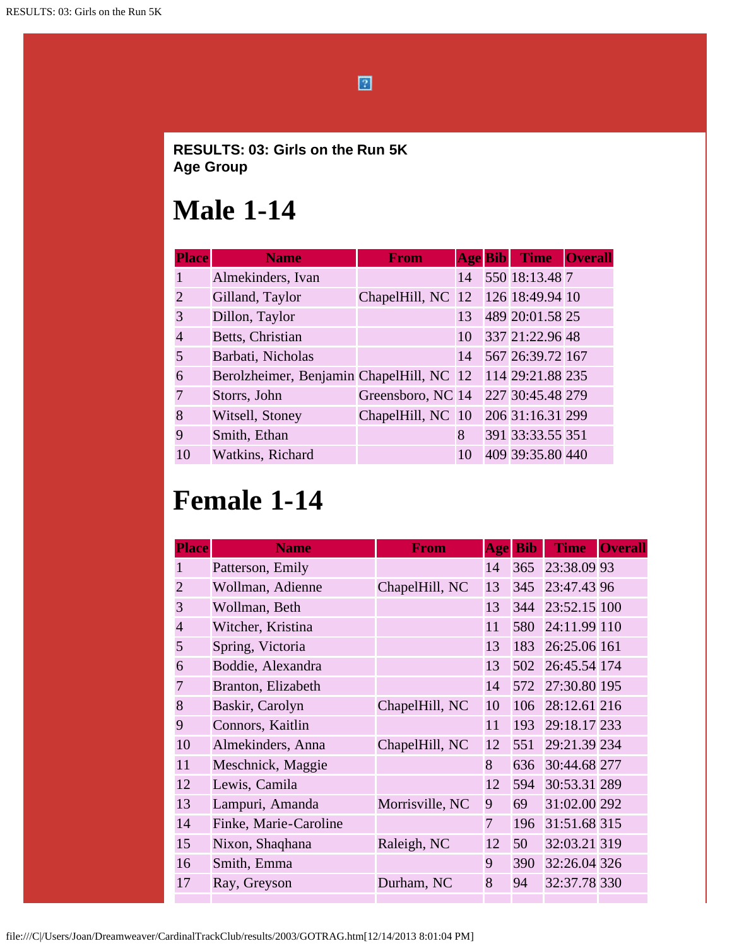$\boxed{2}$ 

#### **RESULTS: 03: Girls on the Run 5K Age Group**

#### **Male 1-14**

| <b>Place</b>                | <b>Name</b>                              | <b>From</b>                       | <b>Age Bib</b> | <b>Time</b>      | <b>Overall</b> |
|-----------------------------|------------------------------------------|-----------------------------------|----------------|------------------|----------------|
|                             | Almekinders, Ivan                        |                                   | 14             | 550 18:13.48 7   |                |
| $\mathcal{D}_{\mathcal{L}}$ | Gilland, Taylor                          | ChapelHill, NC 12 126 18:49.94 10 |                |                  |                |
| 3                           | Dillon, Taylor                           |                                   | 13             | 489 20:01.58 25  |                |
| 4                           | Betts, Christian                         |                                   | 10             | 337 21:22.96 48  |                |
| 5                           | Barbati, Nicholas                        |                                   | 14             | 567 26:39.72 167 |                |
| 6                           | Berolzheimer, Benjamin ChapelHill, NC 12 |                                   |                | 114 29:21.88 235 |                |
|                             | Storrs, John                             | Greensboro, NC 14                 |                | 227 30:45.48 279 |                |
| 8                           | Witsell, Stoney                          | ChapelHill, NC 10                 |                | 206 31:16.31 299 |                |
| 9                           | Smith, Ethan                             |                                   | 8              | 391 33:33.55 351 |                |
| 10                          | Watkins, Richard                         |                                   | 10             | 409 39:35.80 440 |                |

## **Female 1-14**

| <b>Place</b>   | <b>Name</b>           | <b>From</b>     | Age | <b>Bib</b> | <b>Time</b>  | <b>Overall</b> |
|----------------|-----------------------|-----------------|-----|------------|--------------|----------------|
|                | Patterson, Emily      |                 | 14  | 365        | 23:38.09 93  |                |
| $\overline{2}$ | Wollman, Adienne      | ChapelHill, NC  | 13  | 345        | 23:47.43 96  |                |
| $\overline{3}$ | Wollman, Beth         |                 | 13  | 344        | 23:52.15 100 |                |
| $\overline{4}$ | Witcher, Kristina     |                 | 11  | 580        | 24:11.99 110 |                |
| 5              | Spring, Victoria      |                 | 13  | 183        | 26:25.06 161 |                |
| 6              | Boddie, Alexandra     |                 | 13  | 502        | 26:45.54 174 |                |
| $\overline{7}$ | Branton, Elizabeth    |                 | 14  | 572        | 27:30.80 195 |                |
| 8              | Baskir, Carolyn       | ChapelHill, NC  | 10  | 106        | 28:12.61 216 |                |
| 9              | Connors, Kaitlin      |                 | 11  | 193        | 29:18.17 233 |                |
| 10             | Almekinders, Anna     | ChapelHill, NC  | 12  | 551        | 29:21.39 234 |                |
| 11             | Meschnick, Maggie     |                 | 8   | 636        | 30:44.68 277 |                |
| 12             | Lewis, Camila         |                 | 12  | 594        | 30:53.31 289 |                |
| 13             | Lampuri, Amanda       | Morrisville, NC | 9   | 69         | 31:02.00 292 |                |
| 14             | Finke, Marie-Caroline |                 | 7   | 196        | 31:51.68 315 |                |
| 15             | Nixon, Shaqhana       | Raleigh, NC     | 12  | 50         | 32:03.21 319 |                |
| 16             | Smith, Emma           |                 | 9   | 390        | 32:26.04 326 |                |
| 17             | Ray, Greyson          | Durham, NC      | 8   | 94         | 32:37.78 330 |                |
|                |                       |                 |     |            |              |                |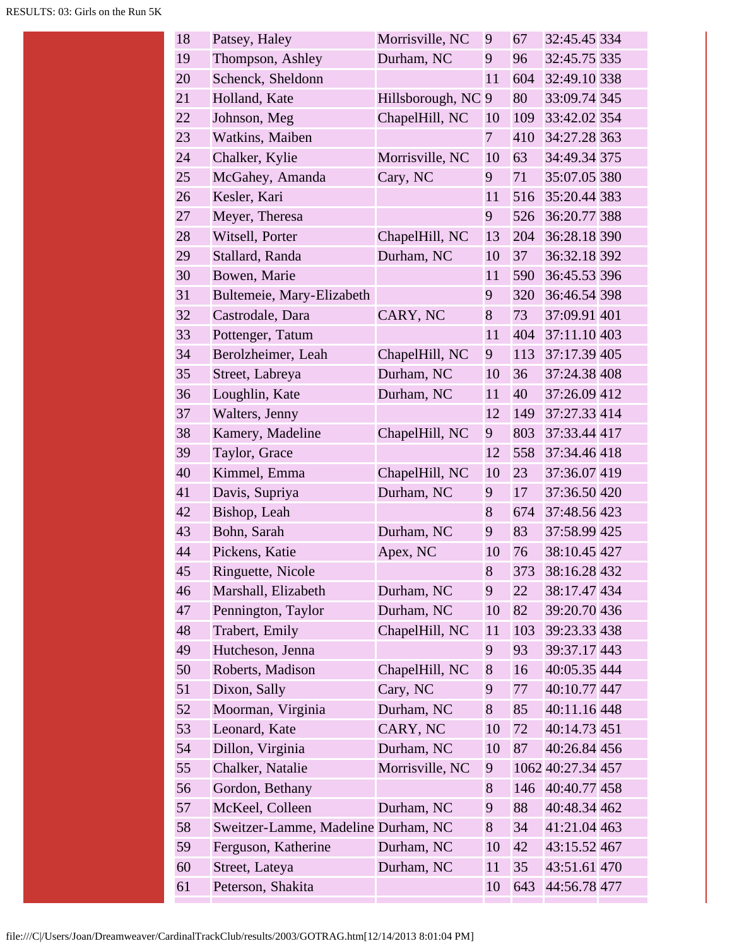| 18 | Patsey, Haley                       | Morrisville, NC    | 9              | 67  | 32:45.45 334      |
|----|-------------------------------------|--------------------|----------------|-----|-------------------|
| 19 | Thompson, Ashley                    | Durham, NC         | 9              | 96  | 32:45.75 335      |
| 20 | Schenck, Sheldonn                   |                    | 11             | 604 | 32:49.10 338      |
| 21 | Holland, Kate                       | Hillsborough, NC 9 |                | 80  | 33:09.74 345      |
| 22 | Johnson, Meg                        | ChapelHill, NC     | 10             | 109 | 33:42.02 354      |
| 23 | Watkins, Maiben                     |                    | $\overline{7}$ | 410 | 34:27.28 363      |
| 24 | Chalker, Kylie                      | Morrisville, NC    | 10             | 63  | 34:49.34 375      |
| 25 | McGahey, Amanda                     | Cary, NC           | 9              | 71  | 35:07.05 380      |
| 26 | Kesler, Kari                        |                    | 11             | 516 | 35:20.44 383      |
| 27 | Meyer, Theresa                      |                    | 9              | 526 | 36:20.77 388      |
| 28 | Witsell, Porter                     | ChapelHill, NC     | 13             | 204 | 36:28.18 390      |
| 29 | Stallard, Randa                     | Durham, NC         | 10             | 37  | 36:32.18 392      |
| 30 | Bowen, Marie                        |                    | 11             | 590 | 36:45.53 396      |
| 31 | Bultemeie, Mary-Elizabeth           |                    | 9              | 320 | 36:46.54 398      |
| 32 | Castrodale, Dara                    | CARY, NC           | 8              | 73  | 37:09.91 401      |
| 33 | Pottenger, Tatum                    |                    | 11             | 404 | 37:11.10 403      |
| 34 | Berolzheimer, Leah                  | ChapelHill, NC     | 9              | 113 | 37:17.39 405      |
| 35 | Street, Labreya                     | Durham, NC         | 10             | 36  | 37:24.38 408      |
| 36 | Loughlin, Kate                      | Durham, NC         | 11             | 40  | 37:26.09 412      |
| 37 | Walters, Jenny                      |                    | 12             | 149 | 37:27.33 414      |
| 38 | Kamery, Madeline                    | ChapelHill, NC     | 9              | 803 | 37:33.44 417      |
| 39 | Taylor, Grace                       |                    | 12             | 558 | 37:34.46 418      |
| 40 | Kimmel, Emma                        | ChapelHill, NC     | 10             | 23  | 37:36.07 419      |
| 41 | Davis, Supriya                      | Durham, NC         | 9              | 17  | 37:36.50 420      |
| 42 | Bishop, Leah                        |                    | 8              | 674 | 37:48.56 423      |
| 43 | Bohn, Sarah                         | Durham, NC         | 9              | 83  | 37:58.99 425      |
| 44 | Pickens, Katie                      | Apex, NC           | 10             | 76  | 38:10.45 427      |
| 45 | Ringuette, Nicole                   |                    | 8              | 373 | 38:16.28 432      |
| 46 | Marshall, Elizabeth                 | Durham, NC         | 9              | 22  | 38:17.47 434      |
| 47 | Pennington, Taylor                  | Durham, NC         | 10             | 82  | 39:20.70 436      |
| 48 | Trabert, Emily                      | ChapelHill, NC     | 11             | 103 | 39:23.33 438      |
| 49 | Hutcheson, Jenna                    |                    | 9              | 93  | 39:37.17 443      |
| 50 | Roberts, Madison                    | ChapelHill, NC     | 8              | 16  | 40:05.35 444      |
| 51 | Dixon, Sally                        | Cary, NC           | 9              | 77  | 40:10.77 447      |
| 52 | Moorman, Virginia                   | Durham, NC         | 8              | 85  | 40:11.16 448      |
| 53 | Leonard, Kate                       | CARY, NC           | 10             | 72  | 40:14.73 451      |
| 54 | Dillon, Virginia                    | Durham, NC         | 10             | 87  | 40:26.84 456      |
| 55 | Chalker, Natalie                    | Morrisville, NC    | 9              |     | 1062 40:27.34 457 |
| 56 | Gordon, Bethany                     |                    | 8              | 146 | 40:40.77 458      |
| 57 | McKeel, Colleen                     | Durham, NC         | 9              | 88  | 40:48.34 462      |
| 58 | Sweitzer-Lamme, Madeline Durham, NC |                    | 8              | 34  | 41:21.04 463      |
| 59 | Ferguson, Katherine                 | Durham, NC         | 10             | 42  | 43:15.52 467      |
| 60 | Street, Lateya                      | Durham, NC         | 11             | 35  | 43:51.61 470      |
| 61 | Peterson, Shakita                   |                    | 10             | 643 | 44:56.78 477      |
|    |                                     |                    |                |     |                   |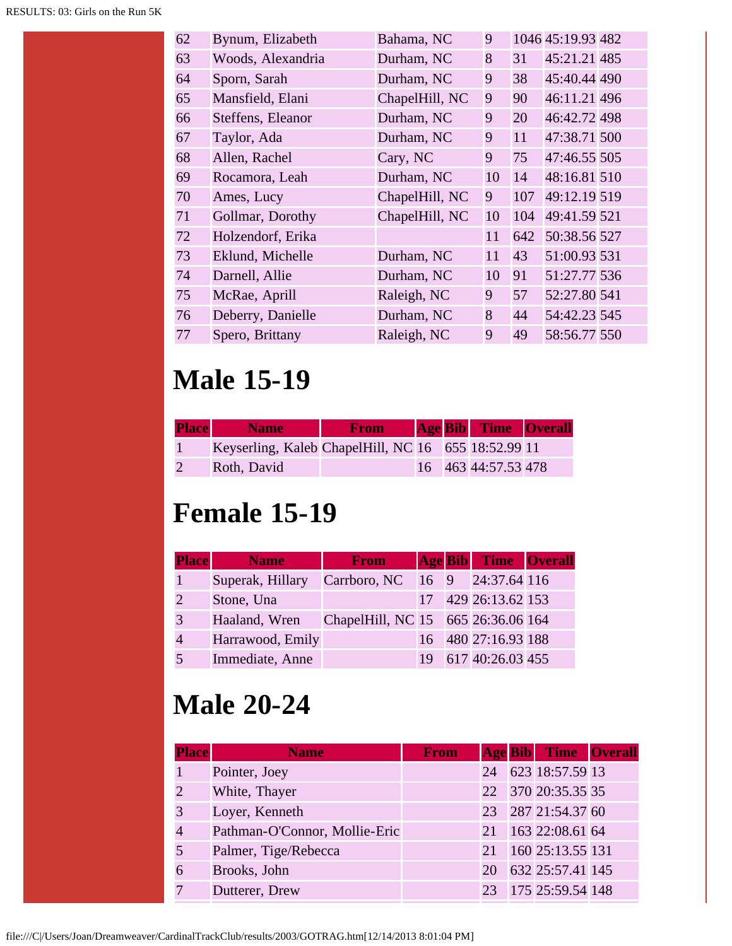| 62 | Bynum, Elizabeth  | Bahama, NC     | 9  |     | 1046 45:19.93 482 |  |
|----|-------------------|----------------|----|-----|-------------------|--|
| 63 | Woods, Alexandria | Durham, NC     | 8  | 31  | 45:21.21 485      |  |
| 64 | Sporn, Sarah      | Durham, NC     | 9  | 38  | 45:40.44 490      |  |
| 65 | Mansfield, Elani  | ChapelHill, NC | 9  | 90  | 46:11.21 496      |  |
| 66 | Steffens, Eleanor | Durham, NC     | 9  | 20  | 46:42.72 498      |  |
| 67 | Taylor, Ada       | Durham, NC     | 9  | 11  | 47:38.71 500      |  |
| 68 | Allen, Rachel     | Cary, NC       | 9  | 75  | 47:46.55 505      |  |
| 69 | Rocamora, Leah    | Durham, NC     | 10 | 14  | 48:16.81 510      |  |
| 70 | Ames, Lucy        | ChapelHill, NC | 9  | 107 | 49:12.19 519      |  |
| 71 | Gollmar, Dorothy  | ChapelHill, NC | 10 | 104 | 49:41.59 521      |  |
| 72 | Holzendorf, Erika |                | 11 | 642 | 50:38.56 527      |  |
| 73 | Eklund, Michelle  | Durham, NC     | 11 | 43  | 51:00.93 531      |  |
| 74 | Darnell, Allie    | Durham, NC     | 10 | 91  | 51:27.77 536      |  |
| 75 | McRae, Aprill     | Raleigh, NC    | 9  | 57  | 52:27.80 541      |  |
| 76 | Deberry, Danielle | Durham, NC     | 8  | 44  | 54:42.23 545      |  |
| 77 | Spero, Brittany   | Raleigh, NC    | 9  | 49  | 58:56.77 550      |  |
|    |                   |                |    |     |                   |  |

# **Male 15-19**

| <b>Place</b> | <b>Name</b>                                         | <b>From</b> |  | <b>Age Bib</b> Time Overall |  |
|--------------|-----------------------------------------------------|-------------|--|-----------------------------|--|
|              | Keyserling, Kaleb ChapelHill, NC 16 655 18:52.99 11 |             |  |                             |  |
|              | Roth, David                                         |             |  | 16 463 44:57.53 478         |  |

### **Female 15-19**

| <b>Place</b> | <b>Name</b>      | <b>From</b>                        |  | <b>Age Bib</b> Time Overall |  |
|--------------|------------------|------------------------------------|--|-----------------------------|--|
|              | Superak, Hillary | Carrboro, NC 16 9 24:37.64 116     |  |                             |  |
|              | Stone, Una       |                                    |  | 17 429 26:13.62 153         |  |
|              | Haaland, Wren    | ChapelHill, NC 15 665 26:36.06 164 |  |                             |  |
|              | Harrawood, Emily |                                    |  | 16 480 27:16.93 188         |  |
|              | Immediate, Anne  |                                    |  | 617 40:26.03 455            |  |

# **Male 20-24**

| <b>Place</b>   | <b>Name</b>                   | <b>From</b> |    | <b>Age Bib Time Overall</b> |  |
|----------------|-------------------------------|-------------|----|-----------------------------|--|
|                | Pointer, Joey                 |             | 24 | 623 18:57.59 13             |  |
| $\overline{2}$ | White, Thayer                 |             |    | 22 370 20:35.35 35          |  |
| 3              | Loyer, Kenneth                |             |    | 23 287 21:54.37 60          |  |
| $\overline{4}$ | Pathman-O'Connor, Mollie-Eric |             | 21 | 163 22:08.61 64             |  |
| 5              | Palmer, Tige/Rebecca          |             | 21 | 160 25:13.55 131            |  |
| 6              | Brooks, John                  |             | 20 | 632 25:57.41 145            |  |
|                | Dutterer, Drew                |             |    | 23 175 25:59.54 148         |  |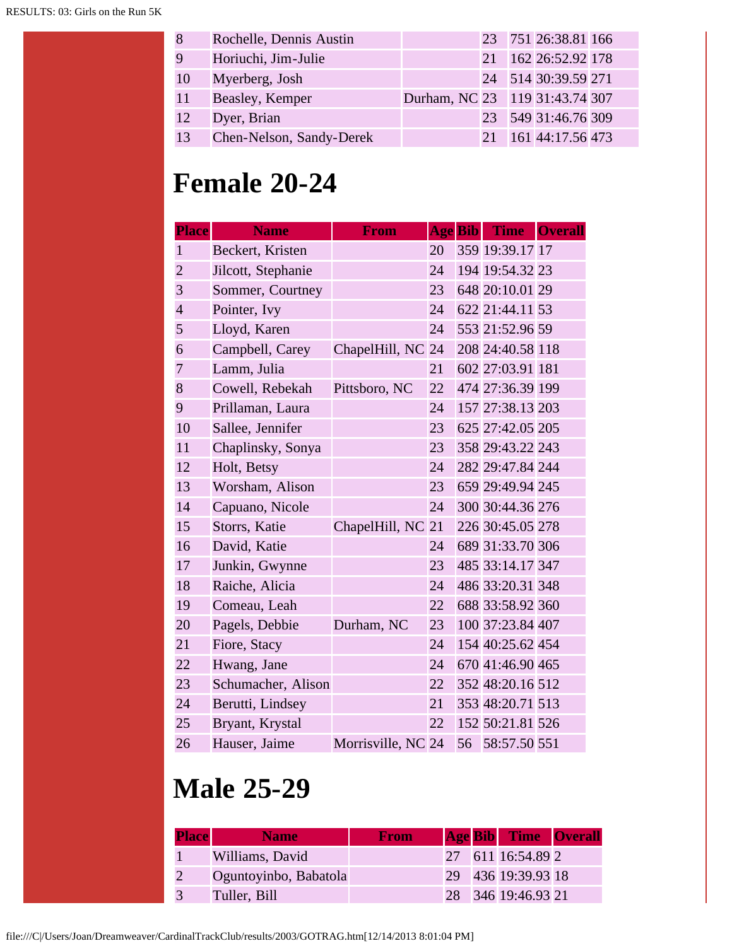| 8  | Rochelle, Dennis Austin  |                                |     | 23 751 26:38.81 166 |  |
|----|--------------------------|--------------------------------|-----|---------------------|--|
| 9  | Horiuchi, Jim-Julie      |                                | 2.1 | 162 26:52.92 178    |  |
| 10 | Myerberg, Josh           |                                |     | 24 514 30:39.59 271 |  |
| 11 | Beasley, Kemper          | Durham, NC 23 119 31:43.74 307 |     |                     |  |
| 12 | Dyer, Brian              |                                |     | 23 549 31:46.76 309 |  |
| 13 | Chen-Nelson, Sandy-Derek |                                | 21  | 161 44:17.56 473    |  |

#### **Female 20-24**

| <b>Place</b>   | <b>Name</b>        | From               |    | <b>Age Bib</b> | Time Overall     |  |
|----------------|--------------------|--------------------|----|----------------|------------------|--|
| $\mathbf{1}$   | Beckert, Kristen   |                    | 20 |                | 359 19:39.17 17  |  |
| $\overline{2}$ | Jilcott, Stephanie |                    | 24 |                | 194 19:54.32 23  |  |
| 3              | Sommer, Courtney   |                    | 23 |                | 648 20:10.01 29  |  |
| $\overline{4}$ | Pointer, Ivy       |                    | 24 |                | 622 21:44.11 53  |  |
| 5              | Lloyd, Karen       |                    | 24 |                | 553 21:52.96 59  |  |
| 6              | Campbell, Carey    | ChapelHill, NC 24  |    |                | 208 24:40.58 118 |  |
| $\overline{7}$ | Lamm, Julia        |                    | 21 |                | 602 27:03.91 181 |  |
| 8              | Cowell, Rebekah    | Pittsboro, NC      | 22 |                | 474 27:36.39 199 |  |
| 9              | Prillaman, Laura   |                    | 24 |                | 157 27:38.13 203 |  |
| 10             | Sallee, Jennifer   |                    | 23 |                | 625 27:42.05 205 |  |
| 11             | Chaplinsky, Sonya  |                    | 23 |                | 358 29:43.22 243 |  |
| 12             | Holt, Betsy        |                    | 24 |                | 282 29:47.84 244 |  |
| 13             | Worsham, Alison    |                    | 23 |                | 659 29:49.94 245 |  |
| 14             | Capuano, Nicole    |                    | 24 |                | 300 30:44.36 276 |  |
| 15             | Storrs, Katie      | ChapelHill, NC     | 21 |                | 226 30:45.05 278 |  |
| 16             | David, Katie       |                    | 24 |                | 689 31:33.70 306 |  |
| 17             | Junkin, Gwynne     |                    | 23 |                | 485 33:14.17 347 |  |
| 18             | Raiche, Alicia     |                    | 24 |                | 486 33:20.31 348 |  |
| 19             | Comeau, Leah       |                    | 22 |                | 688 33:58.92 360 |  |
| 20             | Pagels, Debbie     | Durham, NC         | 23 |                | 100 37:23.84 407 |  |
| 21             | Fiore, Stacy       |                    | 24 |                | 154 40:25.62 454 |  |
| 22             | Hwang, Jane        |                    | 24 |                | 670 41:46.90 465 |  |
| 23             | Schumacher, Alison |                    | 22 |                | 352 48:20.16 512 |  |
| 24             | Berutti, Lindsey   |                    | 21 |                | 353 48:20.71 513 |  |
| 25             | Bryant, Krystal    |                    | 22 |                | 152 50:21.81 526 |  |
| 26             | Hauser, Jaime      | Morrisville, NC 24 |    |                | 56 58:57.50 551  |  |

### **Male 25-29**

| <b>Place</b> | <b>Name</b>           | <b>From</b> |  | <b>Age Bib</b> Time Overall |  |
|--------------|-----------------------|-------------|--|-----------------------------|--|
|              | Williams, David       |             |  | 27 611 16:54.89 2           |  |
|              | Oguntoyinbo, Babatola |             |  | 29 436 19:39.93 18          |  |
|              | Tuller, Bill          |             |  | 28 346 19:46.93 21          |  |

file:///C|/Users/Joan/Dreamweaver/CardinalTrackClub/results/2003/GOTRAG.htm[12/14/2013 8:01:04 PM]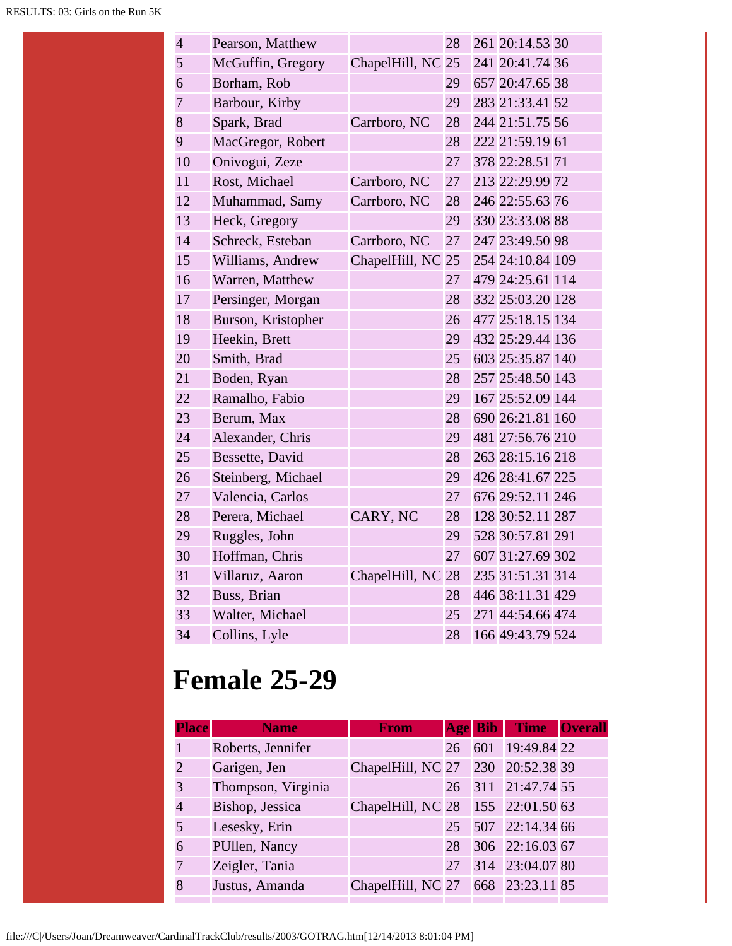| $\overline{4}$ | Pearson, Matthew   |                   | 28 | 261 20:14.53 30  |  |
|----------------|--------------------|-------------------|----|------------------|--|
| 5              | McGuffin, Gregory  | ChapelHill, NC 25 |    | 241 20:41.74 36  |  |
| 6              | Borham, Rob        |                   | 29 | 657 20:47.65 38  |  |
| $\overline{7}$ | Barbour, Kirby     |                   | 29 | 283 21:33.41 52  |  |
| 8              | Spark, Brad        | Carrboro, NC      | 28 | 244 21:51.75 56  |  |
| 9              | MacGregor, Robert  |                   | 28 | 222 21:59.19 61  |  |
| 10             | Onivogui, Zeze     |                   | 27 | 378 22:28.51 71  |  |
| 11             | Rost, Michael      | Carrboro, NC      | 27 | 213 22:29.99 72  |  |
| 12             | Muhammad, Samy     | Carrboro, NC      | 28 | 246 22:55.63 76  |  |
| 13             | Heck, Gregory      |                   | 29 | 330 23:33.08 88  |  |
| 14             | Schreck, Esteban   | Carrboro, NC      | 27 | 247 23:49.50 98  |  |
| 15             | Williams, Andrew   | ChapelHill, NC    | 25 | 254 24:10.84 109 |  |
| 16             | Warren, Matthew    |                   | 27 | 479 24:25.61 114 |  |
| 17             | Persinger, Morgan  |                   | 28 | 332 25:03.20 128 |  |
| 18             | Burson, Kristopher |                   | 26 | 477 25:18.15 134 |  |
| 19             | Heekin, Brett      |                   | 29 | 432 25:29.44 136 |  |
| 20             | Smith, Brad        |                   | 25 | 603 25:35.87 140 |  |
| 21             | Boden, Ryan        |                   | 28 | 257 25:48.50 143 |  |
| 22             | Ramalho, Fabio     |                   | 29 | 167 25:52.09 144 |  |
| 23             | Berum, Max         |                   | 28 | 690 26:21.81 160 |  |
| 24             | Alexander, Chris   |                   | 29 | 481 27:56.76 210 |  |
| 25             | Bessette, David    |                   | 28 | 263 28:15.16 218 |  |
| 26             | Steinberg, Michael |                   | 29 | 426 28:41.67 225 |  |
| 27             | Valencia, Carlos   |                   | 27 | 676 29:52.11 246 |  |
| 28             | Perera, Michael    | CARY, NC          | 28 | 128 30:52.11 287 |  |
| 29             | Ruggles, John      |                   | 29 | 528 30:57.81 291 |  |
| 30             | Hoffman, Chris     |                   | 27 | 607 31:27.69 302 |  |
| 31             | Villaruz, Aaron    | ChapelHill, NC 28 |    | 235 31:51.31 314 |  |
| 32             | Buss, Brian        |                   | 28 | 446 38:11.31 429 |  |
| 33             | Walter, Michael    |                   | 25 | 271 44:54.66 474 |  |
| 34             | Collins, Lyle      |                   | 28 | 166 49:43.79 524 |  |
|                |                    |                   |    |                  |  |

#### **Female 25-29**

| <b>Place</b>  | <b>Name</b>        | <b>From</b>                       |    | Age Bib | Time Overall       |  |
|---------------|--------------------|-----------------------------------|----|---------|--------------------|--|
|               | Roberts, Jennifer  |                                   | 26 |         | 601 19:49.84 22    |  |
| $\mathcal{D}$ | Garigen, Jen       | ChapelHill, NC 27 230 20:52.38 39 |    |         |                    |  |
| 3             | Thompson, Virginia |                                   |    |         | 26 311 21:47.74 55 |  |
| 4             | Bishop, Jessica    | ChapelHill, NC 28 155 22:01.50 63 |    |         |                    |  |
|               | Lesesky, Erin      |                                   |    |         | 25 507 22:14.34 66 |  |
| 6             | PUllen, Nancy      |                                   | 28 |         | 306 22:16.03 67    |  |
|               | Zeigler, Tania     |                                   | 27 |         | 314 23:04.07 80    |  |
|               | Justus, Amanda     | ChapelHill, NC 27 668 23:23.11 85 |    |         |                    |  |
|               |                    |                                   |    |         |                    |  |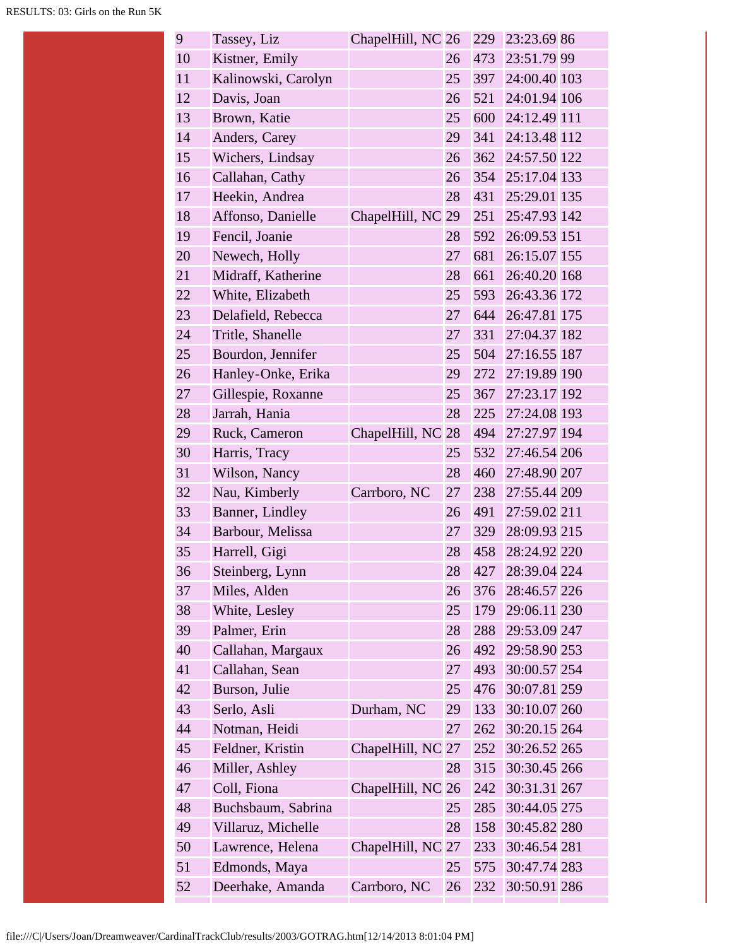| 9  | Tassey, Liz         | ChapelHill, NC 26 |    | 229 | 23:23.69 86      |
|----|---------------------|-------------------|----|-----|------------------|
| 10 | Kistner, Emily      |                   | 26 | 473 | 23:51.79 99      |
| 11 | Kalinowski, Carolyn |                   | 25 | 397 | 24:00.40 103     |
| 12 | Davis, Joan         |                   | 26 | 521 | 24:01.94 106     |
| 13 | Brown, Katie        |                   | 25 | 600 | 24:12.49 111     |
| 14 | Anders, Carey       |                   | 29 | 341 | 24:13.48 112     |
| 15 | Wichers, Lindsay    |                   | 26 | 362 | 24:57.50 122     |
| 16 | Callahan, Cathy     |                   | 26 | 354 | 25:17.04 133     |
| 17 | Heekin, Andrea      |                   | 28 | 431 | 25:29.01 135     |
| 18 | Affonso, Danielle   | ChapelHill, NC    | 29 | 251 | 25:47.93 142     |
| 19 | Fencil, Joanie      |                   | 28 | 592 | 26:09.53 151     |
| 20 | Newech, Holly       |                   | 27 | 681 | 26:15.07 155     |
| 21 | Midraff, Katherine  |                   | 28 | 661 | 26:40.20 168     |
| 22 | White, Elizabeth    |                   | 25 | 593 | 26:43.36 172     |
| 23 | Delafield, Rebecca  |                   | 27 | 644 | 26:47.81 175     |
| 24 | Tritle, Shanelle    |                   | 27 | 331 | 27:04.37 182     |
| 25 | Bourdon, Jennifer   |                   | 25 |     | 504 27:16.55 187 |
| 26 | Hanley-Onke, Erika  |                   | 29 |     | 272 27:19.89 190 |
| 27 | Gillespie, Roxanne  |                   | 25 | 367 | 27:23.17 192     |
| 28 | Jarrah, Hania       |                   | 28 | 225 | 27:24.08 193     |
| 29 | Ruck, Cameron       | ChapelHill, NC 28 |    | 494 | 27:27.97 194     |
| 30 | Harris, Tracy       |                   | 25 | 532 | 27:46.54 206     |
| 31 | Wilson, Nancy       |                   | 28 | 460 | 27:48.90 207     |
| 32 | Nau, Kimberly       | Carrboro, NC      | 27 | 238 | 27:55.44 209     |
| 33 | Banner, Lindley     |                   | 26 | 491 | 27:59.02 211     |
| 34 | Barbour, Melissa    |                   | 27 |     | 329 28:09.93 215 |
| 35 | Harrell, Gigi       |                   | 28 | 458 | 28:24.92 220     |
| 36 | Steinberg, Lynn     |                   | 28 | 427 | 28:39.04 224     |
| 37 | Miles, Alden        |                   | 26 | 376 | 28:46.57 226     |
| 38 | White, Lesley       |                   | 25 | 179 | 29:06.11 230     |
| 39 | Palmer, Erin        |                   | 28 | 288 | 29:53.09 247     |
| 40 | Callahan, Margaux   |                   | 26 | 492 | 29:58.90 253     |
| 41 | Callahan, Sean      |                   | 27 | 493 | 30:00.57 254     |
| 42 | Burson, Julie       |                   | 25 | 476 | 30:07.81 259     |
| 43 | Serlo, Asli         | Durham, NC        | 29 | 133 | 30:10.07 260     |
| 44 | Notman, Heidi       |                   | 27 | 262 | 30:20.15 264     |
| 45 | Feldner, Kristin    | ChapelHill, NC 27 |    | 252 | 30:26.52 265     |
| 46 | Miller, Ashley      |                   | 28 | 315 | 30:30.45 266     |
| 47 | Coll, Fiona         | ChapelHill, NC 26 |    | 242 | 30:31.31 267     |
| 48 | Buchsbaum, Sabrina  |                   | 25 | 285 | 30:44.05 275     |
| 49 | Villaruz, Michelle  |                   | 28 | 158 | 30:45.82 280     |
| 50 | Lawrence, Helena    | ChapelHill, NC    | 27 | 233 | 30:46.54 281     |
| 51 | Edmonds, Maya       |                   | 25 | 575 | 30:47.74 283     |
| 52 | Deerhake, Amanda    | Carrboro, NC      | 26 | 232 | 30:50.91 286     |
|    |                     |                   |    |     |                  |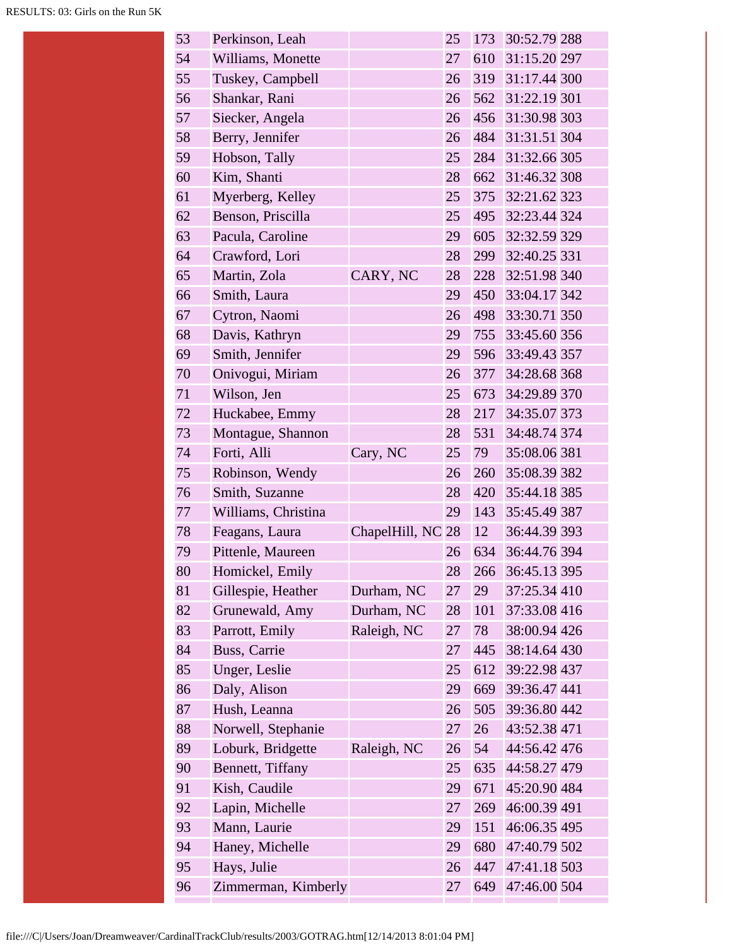| 53 | Perkinson, Leah     |                   | 25 | 173 | 30:52.79 288     |
|----|---------------------|-------------------|----|-----|------------------|
| 54 | Williams, Monette   |                   | 27 |     | 610 31:15.20 297 |
| 55 | Tuskey, Campbell    |                   | 26 |     | 319 31:17.44 300 |
| 56 | Shankar, Rani       |                   | 26 | 562 | 31:22.19 301     |
| 57 | Siecker, Angela     |                   | 26 | 456 | 31:30.98 303     |
| 58 | Berry, Jennifer     |                   | 26 |     | 484 31:31.51 304 |
| 59 | Hobson, Tally       |                   | 25 |     | 284 31:32.66 305 |
| 60 | Kim, Shanti         |                   | 28 | 662 | 31:46.32 308     |
| 61 | Myerberg, Kelley    |                   | 25 |     | 375 32:21.62 323 |
| 62 | Benson, Priscilla   |                   | 25 |     | 495 32:23.44 324 |
| 63 | Pacula, Caroline    |                   | 29 | 605 | 32:32.59 329     |
| 64 | Crawford, Lori      |                   | 28 | 299 | 32:40.25 331     |
| 65 | Martin, Zola        | CARY, NC          | 28 | 228 | 32:51.98 340     |
| 66 | Smith, Laura        |                   | 29 |     | 450 33:04.17 342 |
| 67 | Cytron, Naomi       |                   | 26 |     | 498 33:30.71 350 |
| 68 | Davis, Kathryn      |                   | 29 | 755 | 33:45.60 356     |
| 69 | Smith, Jennifer     |                   | 29 |     | 596 33:49.43 357 |
| 70 | Onivogui, Miriam    |                   | 26 | 377 | 34:28.68 368     |
| 71 | Wilson, Jen         |                   | 25 |     | 673 34:29.89 370 |
| 72 | Huckabee, Emmy      |                   | 28 | 217 | 34:35.07 373     |
| 73 | Montague, Shannon   |                   | 28 | 531 | 34:48.74 374     |
| 74 | Forti, Alli         | Cary, NC          | 25 | 79  | 35:08.06 381     |
| 75 | Robinson, Wendy     |                   | 26 | 260 | 35:08.39 382     |
| 76 | Smith, Suzanne      |                   | 28 | 420 | 35:44.18 385     |
| 77 | Williams, Christina |                   | 29 | 143 | 35:45.49 387     |
| 78 | Feagans, Laura      | ChapelHill, NC 28 |    | 12  | 36:44.39 393     |
| 79 | Pittenle, Maureen   |                   | 26 | 634 | 36:44.76 394     |
| 80 | Homickel, Emily     |                   | 28 | 266 | 36:45.13 395     |
| 81 | Gillespie, Heather  | Durham, NC        | 27 | 29  | 37:25.34 410     |
| 82 | Grunewald, Amy      | Durham, NC        | 28 | 101 | 37:33.08 416     |
| 83 | Parrott, Emily      | Raleigh, NC       | 27 | 78  | 38:00.94 426     |
| 84 | Buss, Carrie        |                   | 27 | 445 | 38:14.64 430     |
| 85 | Unger, Leslie       |                   | 25 | 612 | 39:22.98 437     |
| 86 | Daly, Alison        |                   | 29 | 669 | 39:36.47 441     |
| 87 | Hush, Leanna        |                   | 26 | 505 | 39:36.80 442     |
| 88 | Norwell, Stephanie  |                   | 27 | 26  | 43:52.38 471     |
| 89 | Loburk, Bridgette   | Raleigh, NC       | 26 | 54  | 44:56.42 476     |
| 90 | Bennett, Tiffany    |                   | 25 | 635 | 44:58.27 479     |
| 91 | Kish, Caudile       |                   | 29 | 671 | 45:20.90 484     |
| 92 | Lapin, Michelle     |                   | 27 | 269 | 46:00.39 491     |
| 93 | Mann, Laurie        |                   | 29 | 151 | 46:06.35 495     |
| 94 | Haney, Michelle     |                   | 29 | 680 | 47:40.79 502     |
| 95 | Hays, Julie         |                   | 26 | 447 | 47:41.18 503     |
| 96 | Zimmerman, Kimberly |                   | 27 | 649 | 47:46.00 504     |
|    |                     |                   |    |     |                  |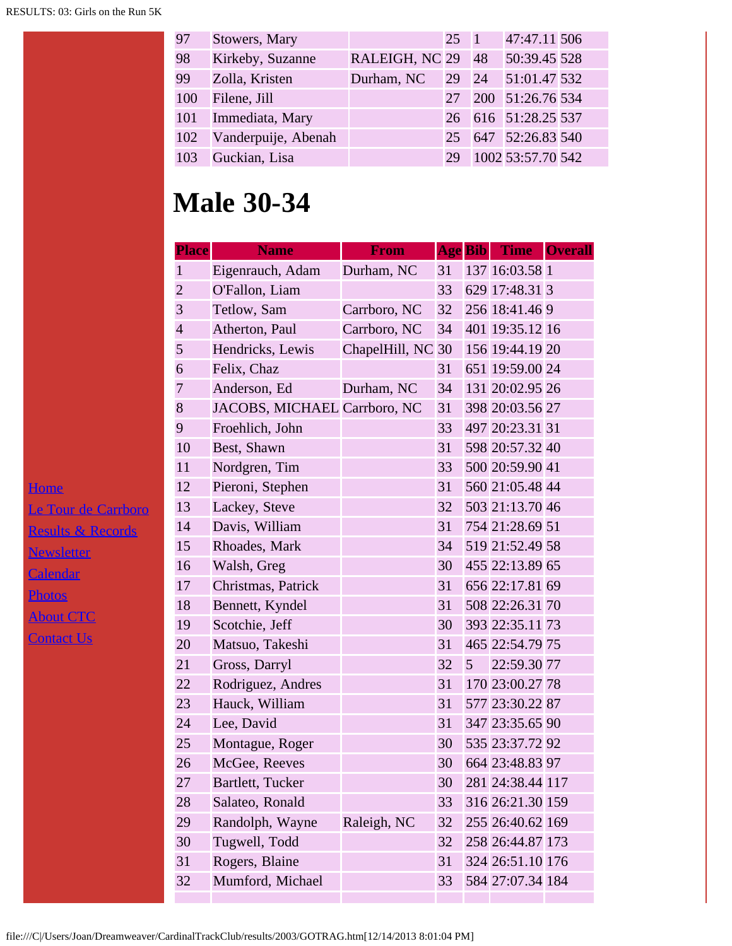| 97  | Stowers, Mary       |                   | $25 \quad 1$ | 47:47.11 506        |  |
|-----|---------------------|-------------------|--------------|---------------------|--|
| 98  | Kirkeby, Suzanne    | RALEIGH, NC 29 48 |              | 50:39.45 528        |  |
| 99  | Zolla, Kristen      | Durham, NC        |              | 29 24 51:01.47 532  |  |
| 100 | Filene, Jill        |                   |              | 27 200 51:26.76 534 |  |
| 101 | Immediata, Mary     |                   |              | 26 616 51:28.25 537 |  |
| 102 | Vanderpuije, Abenah |                   |              | 25 647 52:26.83 540 |  |
| 103 | Guckian, Lisa       |                   | 29           | 1002 53:57.70 542   |  |

#### **Male 30-34**

| <b>Place</b>   | <b>Name</b>                  | From              |    |                | Age Bib Time     | <b>Overall</b> |
|----------------|------------------------------|-------------------|----|----------------|------------------|----------------|
| $\mathbf{1}$   | Eigenrauch, Adam             | Durham, NC        | 31 |                | 137 16:03.58 1   |                |
| $\overline{2}$ | O'Fallon, Liam               |                   | 33 |                | 629 17:48.31 3   |                |
| 3              | Tetlow, Sam                  | Carrboro, NC      | 32 |                | 256 18:41.46 9   |                |
| $\overline{4}$ | Atherton, Paul               | Carrboro, NC      | 34 |                | 401 19:35.12 16  |                |
| 5              | Hendricks, Lewis             | ChapelHill, NC 30 |    |                | 156 19:44.19 20  |                |
| 6              | Felix, Chaz                  |                   | 31 |                | 651 19:59.00 24  |                |
| $\overline{7}$ | Anderson, Ed                 | Durham, NC        | 34 |                | 131 20:02.95 26  |                |
| 8              | JACOBS, MICHAEL Carrboro, NC |                   | 31 |                | 398 20:03.56 27  |                |
| 9              | Froehlich, John              |                   | 33 |                | 497 20:23.31 31  |                |
| 10             | Best, Shawn                  |                   | 31 |                | 598 20:57.32 40  |                |
| 11             | Nordgren, Tim                |                   | 33 |                | 500 20:59.90 41  |                |
| 12             | Pieroni, Stephen             |                   | 31 |                | 560 21:05.48 44  |                |
| 13             | Lackey, Steve                |                   | 32 |                | 503 21:13.70 46  |                |
| 14             | Davis, William               |                   | 31 |                | 754 21:28.69 51  |                |
| 15             | Rhoades, Mark                |                   | 34 |                | 519 21:52.49 58  |                |
| 16             | Walsh, Greg                  |                   | 30 |                | 455 22:13.89 65  |                |
| 17             | Christmas, Patrick           |                   | 31 |                | 656 22:17.81 69  |                |
| 18             | Bennett, Kyndel              |                   | 31 |                | 508 22:26.31 70  |                |
| 19             | Scotchie, Jeff               |                   | 30 |                | 393 22:35.11 73  |                |
| 20             | Matsuo, Takeshi              |                   | 31 |                | 465 22:54.79 75  |                |
| 21             | Gross, Darryl                |                   | 32 | 5 <sup>5</sup> | 22:59.30 77      |                |
| 22             | Rodriguez, Andres            |                   | 31 |                | 170 23:00.27 78  |                |
| 23             | Hauck, William               |                   | 31 |                | 577 23:30.22 87  |                |
| 24             | Lee, David                   |                   | 31 |                | 347 23:35.65 90  |                |
| 25             | Montague, Roger              |                   | 30 |                | 535 23:37.72 92  |                |
| 26             | McGee, Reeves                |                   | 30 |                | 664 23:48.83 97  |                |
| 27             | Bartlett, Tucker             |                   | 30 |                | 281 24:38.44 117 |                |
| 28             | Salateo, Ronald              |                   | 33 |                | 316 26:21.30 159 |                |
| 29             | Randolph, Wayne              | Raleigh, NC       | 32 |                | 255 26:40.62 169 |                |
| 30             | Tugwell, Todd                |                   | 32 |                | 258 26:44.87 173 |                |
| 31             | Rogers, Blaine               |                   | 31 |                | 324 26:51.10 176 |                |
| 32             | Mumford, Michael             |                   | 33 |                | 584 27:07.34 184 |                |
|                |                              |                   |    |                |                  |                |

[Home](file:///home.html) [Le Tour de Carrboro](file:///letourdecarrboro.html) [Results & Records](file:///results.html) **[Newsletter](file:///newsletterSignup.html) [Calendar](file:///page/page/8345191.htm) [Photos](file:///photos.html)** [About CTC](file:///about.html) **[Contact Us](file:///contactUs.html)**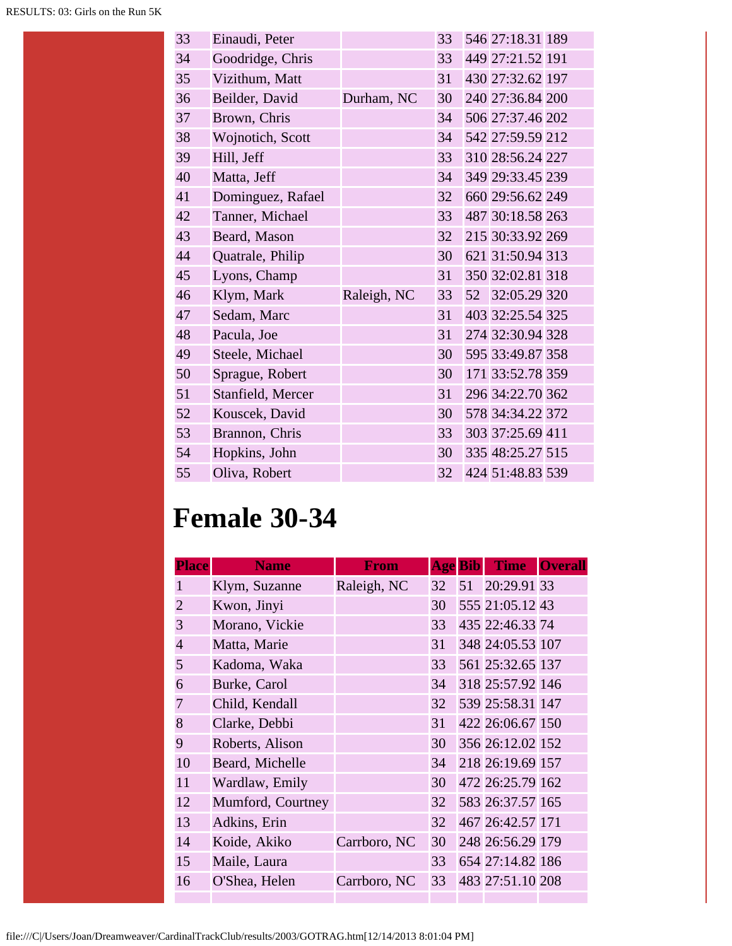| 33 | Einaudi, Peter    |             | 33 | 546 27:18.31 189 |  |
|----|-------------------|-------------|----|------------------|--|
| 34 | Goodridge, Chris  |             | 33 | 449 27:21.52 191 |  |
| 35 | Vizithum, Matt    |             | 31 | 430 27:32.62 197 |  |
| 36 | Beilder, David    | Durham, NC  | 30 | 240 27:36.84 200 |  |
| 37 | Brown, Chris      |             | 34 | 506 27:37.46 202 |  |
| 38 | Wojnotich, Scott  |             | 34 | 542 27:59.59 212 |  |
| 39 | Hill, Jeff        |             | 33 | 310 28:56.24 227 |  |
| 40 | Matta, Jeff       |             | 34 | 349 29:33.45 239 |  |
| 41 | Dominguez, Rafael |             | 32 | 660 29:56.62 249 |  |
| 42 | Tanner, Michael   |             | 33 | 487 30:18.58 263 |  |
| 43 | Beard, Mason      |             | 32 | 215 30:33.92 269 |  |
| 44 | Quatrale, Philip  |             | 30 | 621 31:50.94 313 |  |
| 45 | Lyons, Champ      |             | 31 | 350 32:02.81 318 |  |
| 46 | Klym, Mark        | Raleigh, NC | 33 | 52 32:05.29 320  |  |
| 47 | Sedam, Marc       |             | 31 | 403 32:25.54 325 |  |
| 48 | Pacula, Joe       |             | 31 | 274 32:30.94 328 |  |
| 49 | Steele, Michael   |             | 30 | 595 33:49.87 358 |  |
| 50 | Sprague, Robert   |             | 30 | 171 33:52.78 359 |  |
| 51 | Stanfield, Mercer |             | 31 | 296 34:22.70 362 |  |
| 52 | Kouscek, David    |             | 30 | 578 34:34.22 372 |  |
| 53 | Brannon, Chris    |             | 33 | 303 37:25.69 411 |  |
| 54 | Hopkins, John     |             | 30 | 335 48:25.27 515 |  |
| 55 | Oliva, Robert     |             | 32 | 424 51:48.83 539 |  |

#### **Female 30-34**

| <b>Place</b>   | <b>Name</b>       | <b>From</b>  |                 | <b>Age</b> Bib | <b>Time</b>      | <b>Overall</b> |
|----------------|-------------------|--------------|-----------------|----------------|------------------|----------------|
| 1              | Klym, Suzanne     | Raleigh, NC  | 32              |                | 51 20:29.91 33   |                |
| $\overline{2}$ | Kwon, Jinyi       |              | 30              |                | 555 21:05.12 43  |                |
| $\overline{3}$ | Morano, Vickie    |              | 33              |                | 435 22:46.33 74  |                |
| $\overline{4}$ | Matta, Marie      |              | 31              |                | 348 24:05.53 107 |                |
| 5              | Kadoma, Waka      |              | 33              |                | 561 25:32.65 137 |                |
| 6              | Burke, Carol      |              | 34              |                | 318 25:57.92 146 |                |
| $\overline{7}$ | Child, Kendall    |              | 32              |                | 539 25:58.31 147 |                |
| 8              | Clarke, Debbi     |              | 31              |                | 422 26:06.67 150 |                |
| 9              | Roberts, Alison   |              | 30 <sup>1</sup> |                | 356 26:12.02 152 |                |
| 10             | Beard, Michelle   |              | 34              |                | 218 26:19.69 157 |                |
| 11             | Wardlaw, Emily    |              | 30              |                | 472 26:25.79 162 |                |
| 12             | Mumford, Courtney |              | 32              |                | 583 26:37.57 165 |                |
| 13             | Adkins, Erin      |              | 32              |                | 467 26:42.57 171 |                |
| 14             | Koide, Akiko      | Carrboro, NC | 30              |                | 248 26:56.29 179 |                |
| 15             | Maile, Laura      |              | 33              |                | 654 27:14.82 186 |                |
| 16             | O'Shea, Helen     | Carrboro, NC | 33              |                | 483 27:51.10 208 |                |
|                |                   |              |                 |                |                  |                |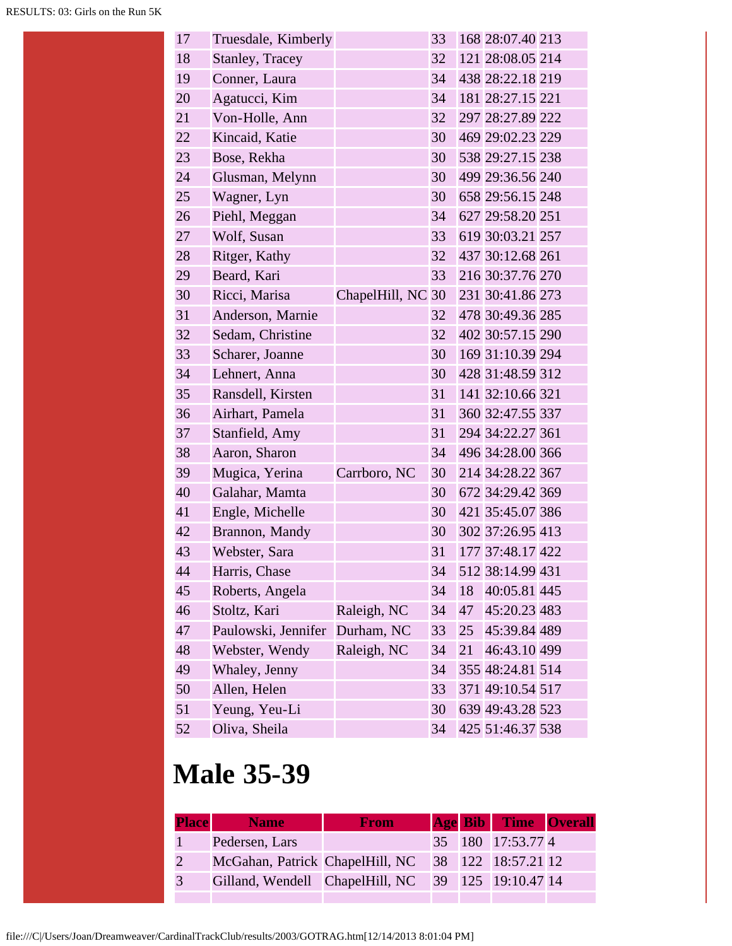| 17 | Truesdale, Kimberly |                   | 33 |    | 168 28:07.40 213 |  |
|----|---------------------|-------------------|----|----|------------------|--|
| 18 | Stanley, Tracey     |                   | 32 |    | 121 28:08.05 214 |  |
| 19 | Conner, Laura       |                   | 34 |    | 438 28:22.18 219 |  |
| 20 | Agatucci, Kim       |                   | 34 |    | 181 28:27.15 221 |  |
| 21 | Von-Holle, Ann      |                   | 32 |    | 297 28:27.89 222 |  |
| 22 | Kincaid, Katie      |                   | 30 |    | 469 29:02.23 229 |  |
| 23 | Bose, Rekha         |                   | 30 |    | 538 29:27.15 238 |  |
| 24 | Glusman, Melynn     |                   | 30 |    | 499 29:36.56 240 |  |
| 25 | Wagner, Lyn         |                   | 30 |    | 658 29:56.15 248 |  |
| 26 | Piehl, Meggan       |                   | 34 |    | 627 29:58.20 251 |  |
| 27 | Wolf, Susan         |                   | 33 |    | 619 30:03.21 257 |  |
| 28 | Ritger, Kathy       |                   | 32 |    | 437 30:12.68 261 |  |
| 29 | Beard, Kari         |                   | 33 |    | 216 30:37.76 270 |  |
| 30 | Ricci, Marisa       | ChapelHill, NC 30 |    |    | 231 30:41.86 273 |  |
| 31 | Anderson, Marnie    |                   | 32 |    | 478 30:49.36 285 |  |
| 32 | Sedam, Christine    |                   | 32 |    | 402 30:57.15 290 |  |
| 33 | Scharer, Joanne     |                   | 30 |    | 169 31:10.39 294 |  |
| 34 | Lehnert, Anna       |                   | 30 |    | 428 31:48.59 312 |  |
| 35 | Ransdell, Kirsten   |                   | 31 |    | 141 32:10.66 321 |  |
| 36 | Airhart, Pamela     |                   | 31 |    | 360 32:47.55 337 |  |
| 37 | Stanfield, Amy      |                   | 31 |    | 294 34:22.27 361 |  |
| 38 | Aaron, Sharon       |                   | 34 |    | 496 34:28.00 366 |  |
| 39 | Mugica, Yerina      | Carrboro, NC      | 30 |    | 214 34:28.22 367 |  |
| 40 | Galahar, Mamta      |                   | 30 |    | 672 34:29.42 369 |  |
| 41 | Engle, Michelle     |                   | 30 |    | 421 35:45.07 386 |  |
| 42 | Brannon, Mandy      |                   | 30 |    | 302 37:26.95 413 |  |
| 43 | Webster, Sara       |                   | 31 |    | 177 37:48.17 422 |  |
| 44 | Harris, Chase       |                   | 34 |    | 512 38:14.99 431 |  |
| 45 | Roberts, Angela     |                   | 34 | 18 | 40:05.81 445     |  |
| 46 | Stoltz, Kari        | Raleigh, NC       | 34 | 47 | 45:20.23 483     |  |
| 47 | Paulowski, Jennifer | Durham, NC        | 33 | 25 | 45:39.84 489     |  |
| 48 | Webster, Wendy      | Raleigh, NC       | 34 | 21 | 46:43.10 499     |  |
| 49 | Whaley, Jenny       |                   | 34 |    | 355 48:24.81 514 |  |
| 50 | Allen, Helen        |                   | 33 |    | 371 49:10.54 517 |  |
| 51 | Yeung, Yeu-Li       |                   | 30 |    | 639 49:43.28 523 |  |
| 52 | Oliva, Sheila       |                   | 34 |    | 425 51:46.37 538 |  |

# **Male 35-39**

| <b>Place</b> | <b>Name</b>                                        | <b>From</b> |  | <b>Age Bib Time Overall</b> |  |
|--------------|----------------------------------------------------|-------------|--|-----------------------------|--|
|              | Pedersen, Lars                                     |             |  | 35 180 17:53.77 4           |  |
| 2            | McGahan, Patrick ChapelHill, NC 38 122 18:57.21 12 |             |  |                             |  |
| 3            | Gilland, Wendell ChapelHill, NC 39 125 19:10.47 14 |             |  |                             |  |
|              |                                                    |             |  |                             |  |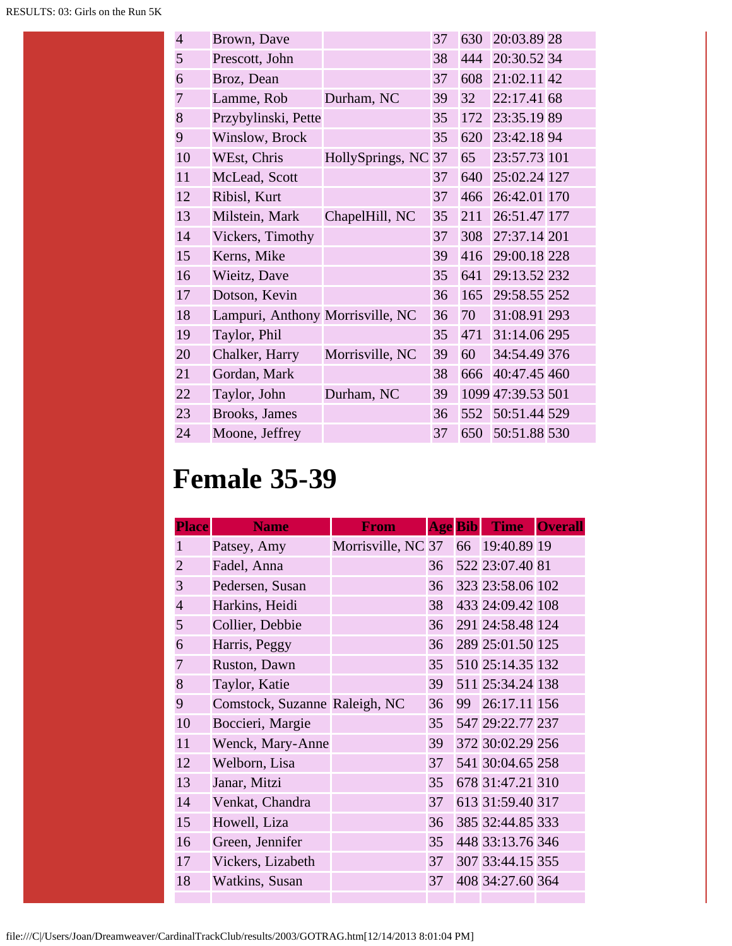| $\overline{4}$ | Brown, Dave                      |                  | 37 | 630 | 20:03.89 28       |  |
|----------------|----------------------------------|------------------|----|-----|-------------------|--|
| 5              | Prescott, John                   |                  | 38 | 444 | 20:30.52 34       |  |
| 6              | Broz, Dean                       |                  | 37 | 608 | 21:02.11 42       |  |
| 7              | Lamme, Rob                       | Durham, NC       | 39 | 32  | 22:17.41 68       |  |
| 8              | Przybylinski, Pette              |                  | 35 | 172 | 23:35.19 89       |  |
| 9              | Winslow, Brock                   |                  | 35 | 620 | 23:42.18 94       |  |
| 10             | WEst, Chris                      | HollySprings, NC | 37 | 65  | 23:57.73 101      |  |
| 11             | McLead, Scott                    |                  | 37 | 640 | 25:02.24 127      |  |
| 12             | Ribisl, Kurt                     |                  | 37 | 466 | 26:42.01 170      |  |
| 13             | Milstein, Mark                   | ChapelHill, NC   | 35 | 211 | 26:51.47 177      |  |
| 14             | Vickers, Timothy                 |                  | 37 | 308 | 27:37.14 201      |  |
| 15             | Kerns, Mike                      |                  | 39 | 416 | 29:00.18 228      |  |
| 16             | Wieitz, Dave                     |                  | 35 | 641 | 29:13.52 232      |  |
| 17             | Dotson, Kevin                    |                  | 36 | 165 | 29:58.55 252      |  |
| 18             | Lampuri, Anthony Morrisville, NC |                  | 36 | 70  | 31:08.91 293      |  |
| 19             | Taylor, Phil                     |                  | 35 | 471 | 31:14.06 295      |  |
| 20             | Chalker, Harry                   | Morrisville, NC  | 39 | 60  | 34:54.49 376      |  |
| 21             | Gordan, Mark                     |                  | 38 | 666 | 40:47.45 460      |  |
| 22             | Taylor, John                     | Durham, NC       | 39 |     | 1099 47:39.53 501 |  |
| 23             | Brooks, James                    |                  | 36 | 552 | 50:51.44 529      |  |
| 24             | Moone, Jeffrey                   |                  | 37 | 650 | 50:51.88 530      |  |

## **Female 35-39**

| <b>Place</b>   | <b>Name</b>                   | <b>From</b>                       |    | <b>Age Bib</b> | <b>Time</b>      | <b>Overall</b> |
|----------------|-------------------------------|-----------------------------------|----|----------------|------------------|----------------|
| 1              | Patsey, Amy                   | Morrisville, NC 37 66 19:40.89 19 |    |                |                  |                |
| $\overline{2}$ | Fadel, Anna                   |                                   | 36 |                | 522 23:07.40 81  |                |
| 3              | Pedersen, Susan               |                                   | 36 |                | 323 23:58.06 102 |                |
| $\overline{4}$ | Harkins, Heidi                |                                   | 38 |                | 433 24:09.42 108 |                |
| 5              | Collier, Debbie               |                                   | 36 |                | 291 24:58.48 124 |                |
| 6              | Harris, Peggy                 |                                   | 36 |                | 289 25:01.50 125 |                |
| $\overline{7}$ | Ruston, Dawn                  |                                   | 35 |                | 510 25:14.35 132 |                |
| 8              | Taylor, Katie                 |                                   | 39 |                | 511 25:34.24 138 |                |
| 9              | Comstock, Suzanne Raleigh, NC |                                   | 36 |                | 99 26:17.11 156  |                |
| 10             | Boccieri, Margie              |                                   | 35 |                | 547 29:22.77 237 |                |
| 11             | Wenck, Mary-Anne              |                                   | 39 |                | 372 30:02.29 256 |                |
| 12             | Welborn, Lisa                 |                                   | 37 |                | 541 30:04.65 258 |                |
| 13             | Janar, Mitzi                  |                                   | 35 |                | 678 31:47.21 310 |                |
| 14             | Venkat, Chandra               |                                   | 37 |                | 613 31:59.40 317 |                |
| 15             | Howell, Liza                  |                                   | 36 |                | 385 32:44.85 333 |                |
| 16             | Green, Jennifer               |                                   | 35 |                | 448 33:13.76 346 |                |
| 17             | Vickers, Lizabeth             |                                   | 37 |                | 307 33:44.15 355 |                |
| 18             | Watkins, Susan                |                                   | 37 |                | 408 34:27.60 364 |                |
|                |                               |                                   |    |                |                  |                |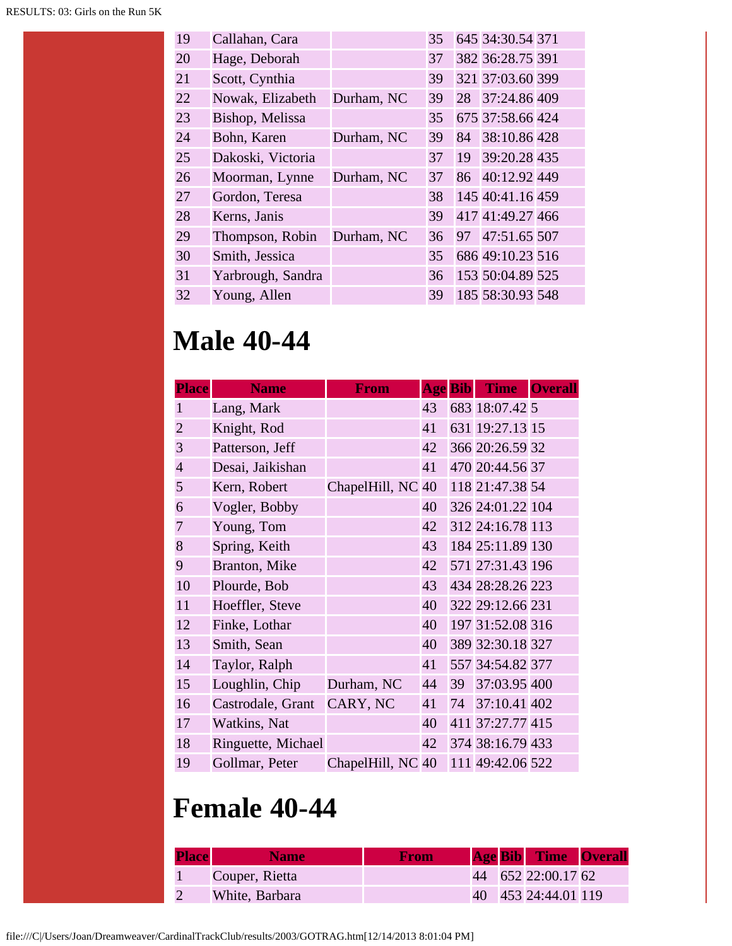| 19 | Callahan, Cara    |            | 35 |    | 645 34:30.54 371 |  |
|----|-------------------|------------|----|----|------------------|--|
| 20 | Hage, Deborah     |            | 37 |    | 382 36:28.75 391 |  |
| 21 | Scott, Cynthia    |            | 39 |    | 321 37:03.60 399 |  |
| 22 | Nowak, Elizabeth  | Durham, NC | 39 | 28 | 37:24.86 409     |  |
| 23 | Bishop, Melissa   |            | 35 |    | 675 37:58.66 424 |  |
| 24 | Bohn, Karen       | Durham, NC | 39 | 84 | 38:10.86 428     |  |
| 25 | Dakoski, Victoria |            | 37 | 19 | 39:20.28 435     |  |
| 26 | Moorman, Lynne    | Durham, NC | 37 | 86 | 40:12.92 449     |  |
| 27 | Gordon, Teresa    |            | 38 |    | 145 40:41.16 459 |  |
| 28 | Kerns, Janis      |            | 39 |    | 417 41:49.27 466 |  |
| 29 | Thompson, Robin   | Durham, NC | 36 | 97 | 47:51.65 507     |  |
| 30 | Smith, Jessica    |            | 35 |    | 686 49:10.23 516 |  |
| 31 | Yarbrough, Sandra |            | 36 |    | 153 50:04.89 525 |  |
| 32 | Young, Allen      |            | 39 |    | 185 58:30.93 548 |  |

#### **Male 40-44**

| <b>Place</b>   | <b>Name</b>        | <b>From</b>       |    | <b>Age Bib</b> | <b>Time</b>      | <b>Overall</b> |
|----------------|--------------------|-------------------|----|----------------|------------------|----------------|
| 1              | Lang, Mark         |                   | 43 |                | 683 18:07.42 5   |                |
| $\overline{2}$ | Knight, Rod        |                   | 41 |                | 631 19:27.13 15  |                |
| 3              | Patterson, Jeff    |                   | 42 |                | 366 20:26.59 32  |                |
| $\overline{4}$ | Desai, Jaikishan   |                   | 41 |                | 470 20:44.56 37  |                |
| 5              | Kern, Robert       | ChapelHill, NC 40 |    |                | 118 21:47.38 54  |                |
| 6              | Vogler, Bobby      |                   | 40 |                | 326 24:01.22 104 |                |
| 7              | Young, Tom         |                   | 42 |                | 312 24:16.78 113 |                |
| 8              | Spring, Keith      |                   | 43 |                | 184 25:11.89 130 |                |
| 9              | Branton, Mike      |                   | 42 |                | 571 27:31.43 196 |                |
| 10             | Plourde, Bob       |                   | 43 |                | 434 28:28.26 223 |                |
| 11             | Hoeffler, Steve    |                   | 40 |                | 322 29:12.66 231 |                |
| 12             | Finke, Lothar      |                   | 40 |                | 197 31:52.08 316 |                |
| 13             | Smith, Sean        |                   | 40 |                | 389 32:30.18 327 |                |
| 14             | Taylor, Ralph      |                   | 41 |                | 557 34:54.82 377 |                |
| 15             | Loughlin, Chip     | Durham, NC        | 44 |                | 39 37:03.95 400  |                |
| 16             | Castrodale, Grant  | CARY, NC          | 41 |                | 74 37:10.41 402  |                |
| 17             | Watkins, Nat       |                   | 40 |                | 411 37:27.77 415 |                |
| 18             | Ringuette, Michael |                   | 42 |                | 374 38:16.79 433 |                |
| 19             | Gollmar, Peter     | ChapelHill, NC 40 |    |                | 111 49:42.06 522 |                |

## **Female 40-44**

| <b>Place</b> | <b>Name</b>    | <b>From</b> |  | <b>Age Bib</b> Time Overall |  |
|--------------|----------------|-------------|--|-----------------------------|--|
|              | Couper, Rietta |             |  | 44 652 22:00.17 62          |  |
|              | White, Barbara |             |  | 40 453 24:44.01 119         |  |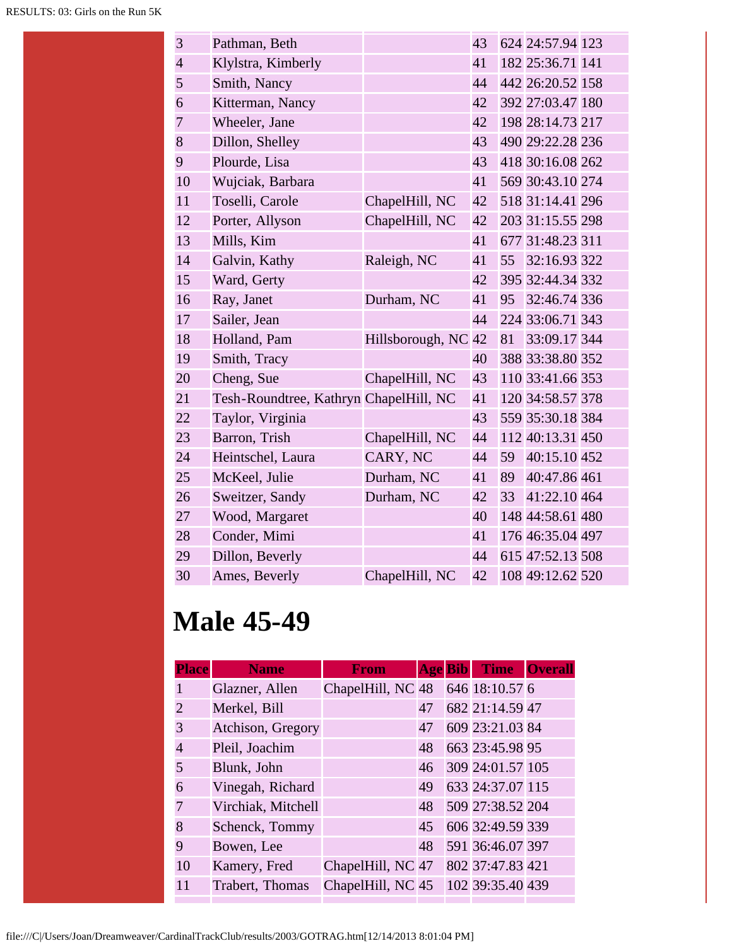| 3              | Pathman, Beth                          |                  | 43 |    | 624 24:57.94 123 |  |
|----------------|----------------------------------------|------------------|----|----|------------------|--|
| $\overline{4}$ | Klylstra, Kimberly                     |                  | 41 |    | 182 25:36.71 141 |  |
| 5              | Smith, Nancy                           |                  | 44 |    | 442 26:20.52 158 |  |
| 6              | Kitterman, Nancy                       |                  | 42 |    | 392 27:03.47 180 |  |
| $\overline{7}$ | Wheeler, Jane                          |                  | 42 |    | 198 28:14.73 217 |  |
| 8              | Dillon, Shelley                        |                  | 43 |    | 490 29:22.28 236 |  |
| 9              | Plourde, Lisa                          |                  | 43 |    | 418 30:16.08 262 |  |
| 10             | Wujciak, Barbara                       |                  | 41 |    | 569 30:43.10 274 |  |
| 11             | Toselli, Carole                        | ChapelHill, NC   | 42 |    | 518 31:14.41 296 |  |
| 12             | Porter, Allyson                        | ChapelHill, NC   | 42 |    | 203 31:15.55 298 |  |
| 13             | Mills, Kim                             |                  | 41 |    | 677 31:48.23 311 |  |
| 14             | Galvin, Kathy                          | Raleigh, NC      | 41 |    | 55 32:16.93 322  |  |
| 15             | Ward, Gerty                            |                  | 42 |    | 395 32:44.34 332 |  |
| 16             | Ray, Janet                             | Durham, NC       | 41 | 95 | 32:46.74 336     |  |
| 17             | Sailer, Jean                           |                  | 44 |    | 224 33:06.71 343 |  |
| 18             | Holland, Pam                           | Hillsborough, NC | 42 | 81 | 33:09.17 344     |  |
| 19             | Smith, Tracy                           |                  | 40 |    | 388 33:38.80 352 |  |
| 20             | Cheng, Sue                             | ChapelHill, NC   | 43 |    | 110 33:41.66 353 |  |
| 21             | Tesh-Roundtree, Kathryn ChapelHill, NC |                  | 41 |    | 120 34:58.57 378 |  |
| 22             | Taylor, Virginia                       |                  | 43 |    | 559 35:30.18 384 |  |
| 23             | Barron, Trish                          | ChapelHill, NC   | 44 |    | 112 40:13.31 450 |  |
| 24             | Heintschel, Laura                      | CARY, NC         | 44 | 59 | 40:15.10 452     |  |
| 25             | McKeel, Julie                          | Durham, NC       | 41 | 89 | 40:47.86 461     |  |
| 26             | Sweitzer, Sandy                        | Durham, NC       | 42 | 33 | 41:22.10 464     |  |
| 27             | Wood, Margaret                         |                  | 40 |    | 148 44:58.61 480 |  |
| 28             | Conder, Mimi                           |                  | 41 |    | 176 46:35.04 497 |  |
| 29             | Dillon, Beverly                        |                  | 44 |    | 615 47:52.13 508 |  |
| 30             | Ames, Beverly                          | ChapelHill, NC   | 42 |    | 108 49:12.62 520 |  |

## **Male 45-49**

| <b>Place</b>   | <b>Name</b>        | <b>From</b>       |    | <b>Age Bib Time Overall</b> |  |
|----------------|--------------------|-------------------|----|-----------------------------|--|
| 1              | Glazner, Allen     | ChapelHill, NC 48 |    | 646 18:10.57 6              |  |
| $\overline{c}$ | Merkel, Bill       |                   | 47 | 682 21:14.59 47             |  |
| 3              | Atchison, Gregory  |                   | 47 | 609 23:21.03 84             |  |
| $\overline{4}$ | Pleil, Joachim     |                   | 48 | 663 23:45.98 95             |  |
| 5              | Blunk, John        |                   | 46 | 309 24:01.57 105            |  |
| 6              | Vinegah, Richard   |                   | 49 | 633 24:37.07 115            |  |
| 7              | Virchiak, Mitchell |                   | 48 | 509 27:38.52 204            |  |
| 8              | Schenck, Tommy     |                   | 45 | 606 32:49.59 339            |  |
| 9              | Bowen, Lee         |                   | 48 | 591 36:46.07 397            |  |
| 10             | Kamery, Fred       | ChapelHill, NC 47 |    | 802 37:47.83 421            |  |
| 11             | Trabert, Thomas    | ChapelHill, NC 45 |    | 102 39:35.40 439            |  |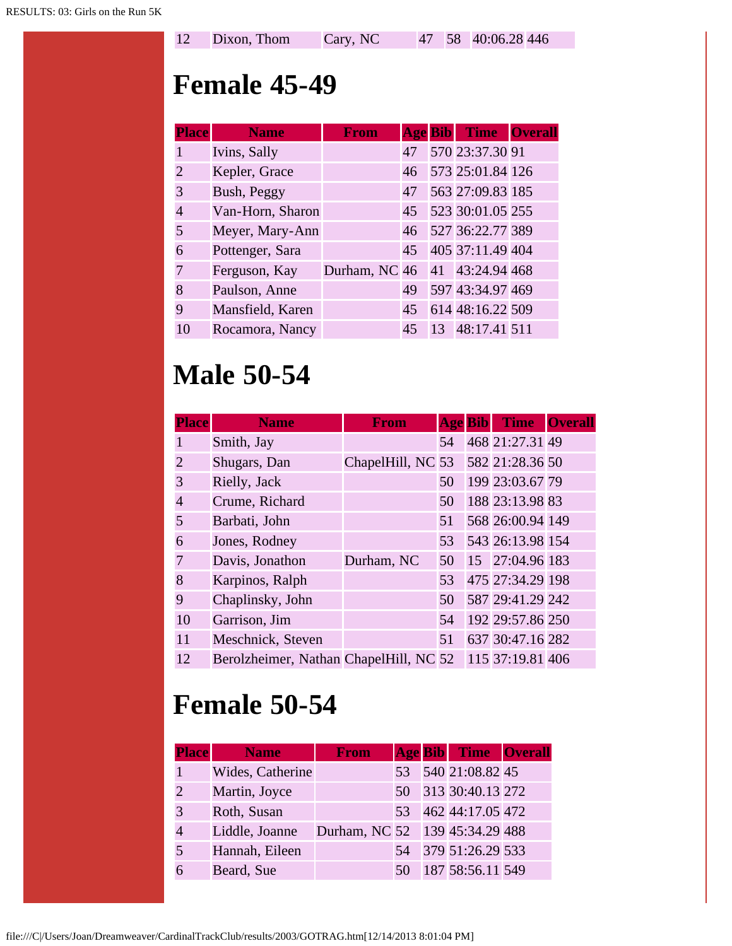|  | 12 Dixon, Thom | Cary, NC |  |  | 47 58 40:06.28 446 |  |
|--|----------------|----------|--|--|--------------------|--|
|--|----------------|----------|--|--|--------------------|--|

#### **Female 45-49**

| <b>Place</b>          | <b>Name</b>      | <b>From</b>                   |    | <b>Age Bib Time Overall</b> |  |
|-----------------------|------------------|-------------------------------|----|-----------------------------|--|
|                       | Ivins, Sally     |                               | 47 | 570 23:37.30 91             |  |
| $\mathcal{D}_{\cdot}$ | Kepler, Grace    |                               | 46 | 573 25:01.84 126            |  |
| 3                     | Bush, Peggy      |                               | 47 | 563 27:09.83 185            |  |
| $\overline{4}$        | Van-Horn, Sharon |                               | 45 | 523 30:01.05 255            |  |
| 5                     | Meyer, Mary-Ann  |                               | 46 | 527 36:22.77 389            |  |
| 6                     | Pottenger, Sara  |                               | 45 | 405 37:11.49 404            |  |
| 7                     | Ferguson, Kay    | Durham, NC 46 41 43:24.94 468 |    |                             |  |
| 8                     | Paulson, Anne    |                               | 49 | 597 43:34.97 469            |  |
| 9                     | Mansfield, Karen |                               | 45 | 614 48:16.22 509            |  |
| 10                    | Rocamora, Nancy  |                               | 45 | 13 48:17.41 511             |  |

## **Male 50-54**

| <b>Place</b>          | <b>Name</b>                            | <b>From</b>       | <b>Age Bib</b> | <b>Time</b>      | <b>Overall</b> |
|-----------------------|----------------------------------------|-------------------|----------------|------------------|----------------|
|                       | Smith, Jay                             |                   | 54             | 468 21:27.31 49  |                |
| $\mathcal{D}_{\cdot}$ | Shugars, Dan                           | ChapelHill, NC 53 |                | 582 21:28.36 50  |                |
| 3                     | Rielly, Jack                           |                   | 50             | 199 23:03.67 79  |                |
| 4                     | Crume, Richard                         |                   | 50             | 188 23:13.98 83  |                |
| 5                     | Barbati, John                          |                   | 51             | 568 26:00.94 149 |                |
| 6                     | Jones, Rodney                          |                   | 53             | 543 26:13.98 154 |                |
|                       | Davis, Jonathon                        | Durham, NC        | 50             | 15 27:04.96 183  |                |
| 8                     | Karpinos, Ralph                        |                   | 53             | 475 27:34.29 198 |                |
| 9                     | Chaplinsky, John                       |                   | 50             | 587 29:41.29 242 |                |
| 10                    | Garrison, Jim                          |                   | 54             | 192 29:57.86 250 |                |
| 11                    | Meschnick, Steven                      |                   | 51             | 637 30:47.16 282 |                |
| 12                    | Berolzheimer, Nathan ChapelHill, NC 52 |                   |                | 115 37:19.81 406 |                |

# **Female 50-54**

| <b>Place</b> | <b>Name</b>      | <b>From</b>                    |    | <b>Age Bib</b> Time Overall |  |
|--------------|------------------|--------------------------------|----|-----------------------------|--|
|              | Wides, Catherine |                                |    | 53 540 21:08.82 45          |  |
|              | Martin, Joyce    |                                | 50 | 313 30:40.13 272            |  |
|              | Roth, Susan      |                                | 53 | 462 44:17.05 472            |  |
|              | Liddle, Joanne   | Durham, NC 52 139 45:34.29 488 |    |                             |  |
|              | Hannah, Eileen   |                                | 54 | 379 51:26.29 533            |  |
|              | Beard, Sue       |                                |    | 187 58:56.11 549            |  |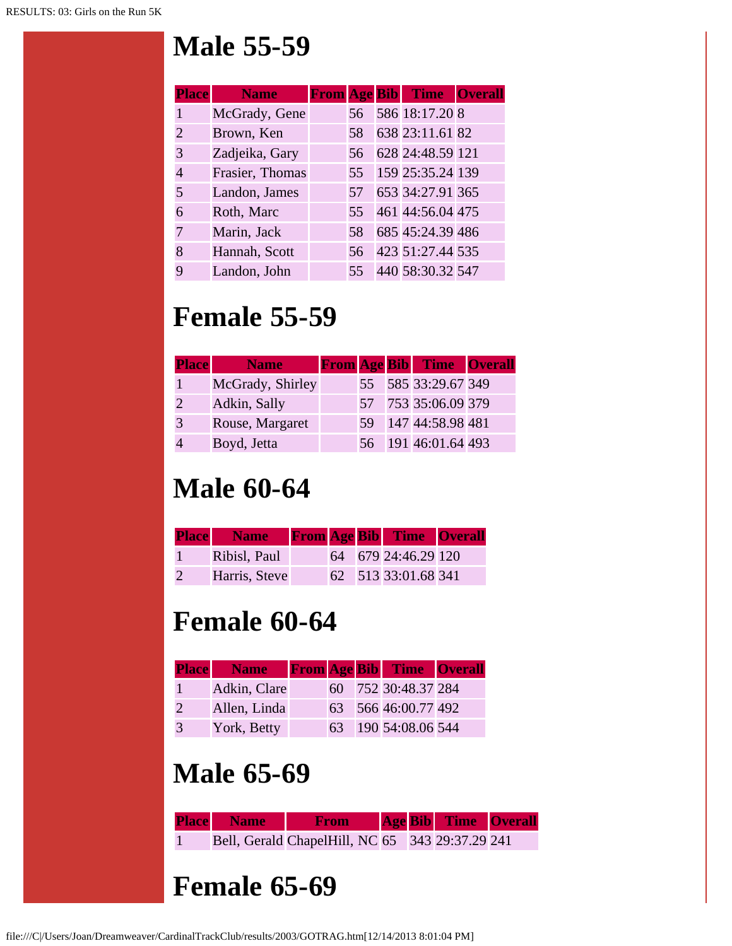### **Male 55-59**

| <b>Place</b>          | <b>Name</b>     |    | <b>From Age Bib Time Overall</b> |  |
|-----------------------|-----------------|----|----------------------------------|--|
|                       | McGrady, Gene   | 56 | 586 18:17.20 8                   |  |
| $\mathcal{D}_{\cdot}$ | Brown, Ken      | 58 | 638 23:11.61 82                  |  |
| 3                     | Zadjeika, Gary  | 56 | 628 24:48.59 121                 |  |
| 4                     | Frasier, Thomas | 55 | 159 25:35.24 139                 |  |
| 5                     | Landon, James   | 57 | 653 34:27.91 365                 |  |
| 6                     | Roth, Marc      | 55 | 461 44:56.04 475                 |  |
|                       | Marin, Jack     | 58 | 685 45:24.39 486                 |  |
| 8                     | Hannah, Scott   | 56 | 423 51:27.44 535                 |  |
| Q                     | Landon, John    | 55 | 440 58:30.32 547                 |  |

## **Female 55-59**

| <b>Place</b> | <b>Name</b>      |    | <b>From Age Bib Time Overall</b> |  |
|--------------|------------------|----|----------------------------------|--|
|              | McGrady, Shirley |    | 55 585 33:29.67 349              |  |
|              | Adkin, Sally     |    | 57 753 35:06.09 379              |  |
|              | Rouse, Margaret  | 59 | 147 44:58.98 481                 |  |
|              | Boyd, Jetta      |    | 56 191 46:01.64 493              |  |

# **Male 60-64**

|                | <b>Place</b> Name |  | <b>From Age Bib Time Overall</b> |  |
|----------------|-------------------|--|----------------------------------|--|
|                | Ribisl, Paul      |  | 64 679 24:46.29 120              |  |
| $\overline{2}$ | Harris, Steve     |  | 62 513 33:01.68 341              |  |

# **Female 60-64**

|               | <b>Place</b> Name |    | <b>From Age Bib Time Overall</b> |  |
|---------------|-------------------|----|----------------------------------|--|
|               | Adkin, Clare      |    | 60 752 30:48.37 284              |  |
| $\mathcal{P}$ | Allen, Linda      |    | 63 566 46:00.77 492              |  |
| 3             | York, Betty       | 63 | 190 54:08.06 544                 |  |

# **Male 65-69**

| <b>Place Name From Age Bib Time Overall</b>     |  |  |  |
|-------------------------------------------------|--|--|--|
| Bell, Gerald ChapelHill, NC 65 343 29:37.29 241 |  |  |  |
|                                                 |  |  |  |
| <b>Female 65-69</b>                             |  |  |  |